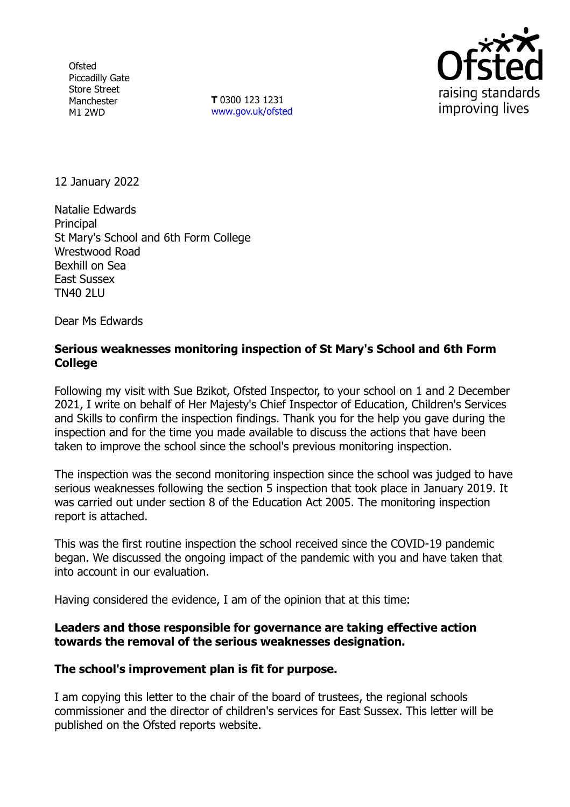**Ofsted** Piccadilly Gate Store Street Manchester M1 2WD

**T** 0300 123 1231 [www.gov.uk/ofsted](http://www.gov.uk/ofsted)



12 January 2022

Natalie Edwards **Principal** St Mary's School and 6th Form College Wrestwood Road Bexhill on Sea East Sussex TN40 2LU

Dear Ms Edwards

# **Serious weaknesses monitoring inspection of St Mary's School and 6th Form College**

Following my visit with Sue Bzikot, Ofsted Inspector, to your school on 1 and 2 December 2021, I write on behalf of Her Majesty's Chief Inspector of Education, Children's Services and Skills to confirm the inspection findings. Thank you for the help you gave during the inspection and for the time you made available to discuss the actions that have been taken to improve the school since the school's previous monitoring inspection.

The inspection was the second monitoring inspection since the school was judged to have serious weaknesses following the section 5 inspection that took place in January 2019. It was carried out under section 8 of the Education Act 2005. The monitoring inspection report is attached.

This was the first routine inspection the school received since the COVID-19 pandemic began. We discussed the ongoing impact of the pandemic with you and have taken that into account in our evaluation.

Having considered the evidence, I am of the opinion that at this time:

## **Leaders and those responsible for governance are taking effective action towards the removal of the serious weaknesses designation.**

## **The school's improvement plan is fit for purpose.**

I am copying this letter to the chair of the board of trustees, the regional schools commissioner and the director of children's services for East Sussex. This letter will be published on the Ofsted reports website.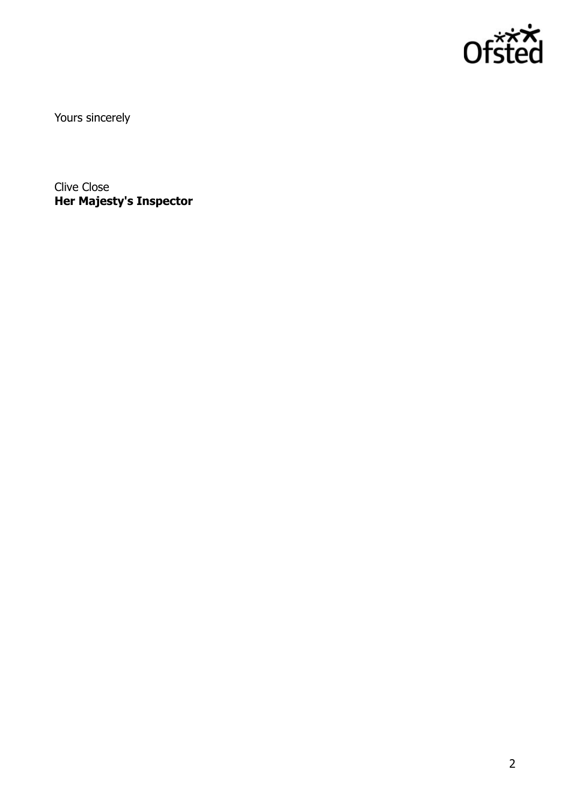

Yours sincerely

Clive Close **Her Majesty's Inspector**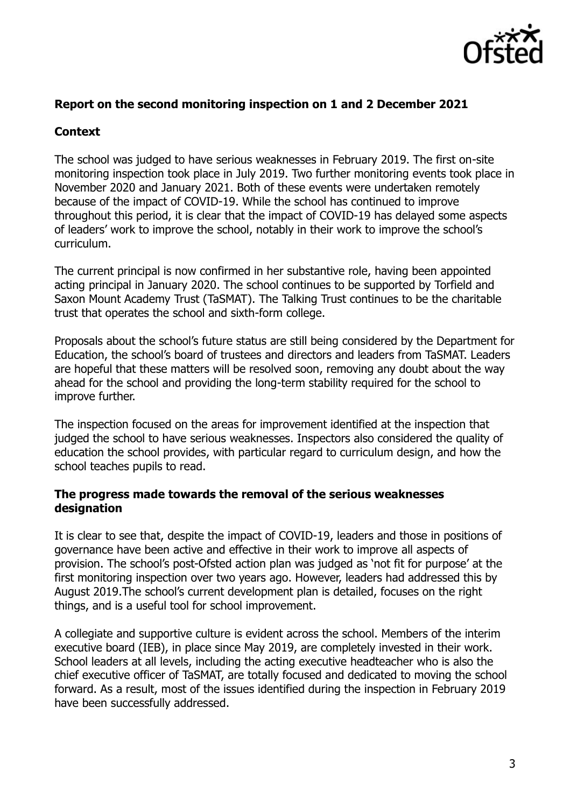

## **Report on the second monitoring inspection on 1 and 2 December 2021**

# **Context**

The school was judged to have serious weaknesses in February 2019. The first on-site monitoring inspection took place in July 2019. Two further monitoring events took place in November 2020 and January 2021. Both of these events were undertaken remotely because of the impact of COVID-19. While the school has continued to improve throughout this period, it is clear that the impact of COVID-19 has delayed some aspects of leaders' work to improve the school, notably in their work to improve the school's curriculum.

The current principal is now confirmed in her substantive role, having been appointed acting principal in January 2020. The school continues to be supported by Torfield and Saxon Mount Academy Trust (TaSMAT). The Talking Trust continues to be the charitable trust that operates the school and sixth-form college.

Proposals about the school's future status are still being considered by the Department for Education, the school's board of trustees and directors and leaders from TaSMAT. Leaders are hopeful that these matters will be resolved soon, removing any doubt about the way ahead for the school and providing the long-term stability required for the school to improve further.

The inspection focused on the areas for improvement identified at the inspection that judged the school to have serious weaknesses. Inspectors also considered the quality of education the school provides, with particular regard to curriculum design, and how the school teaches pupils to read.

#### **The progress made towards the removal of the serious weaknesses designation**

It is clear to see that, despite the impact of COVID-19, leaders and those in positions of governance have been active and effective in their work to improve all aspects of provision. The school's post-Ofsted action plan was judged as 'not fit for purpose' at the first monitoring inspection over two years ago. However, leaders had addressed this by August 2019.The school's current development plan is detailed, focuses on the right things, and is a useful tool for school improvement.

A collegiate and supportive culture is evident across the school. Members of the interim executive board (IEB), in place since May 2019, are completely invested in their work. School leaders at all levels, including the acting executive headteacher who is also the chief executive officer of TaSMAT, are totally focused and dedicated to moving the school forward. As a result, most of the issues identified during the inspection in February 2019 have been successfully addressed.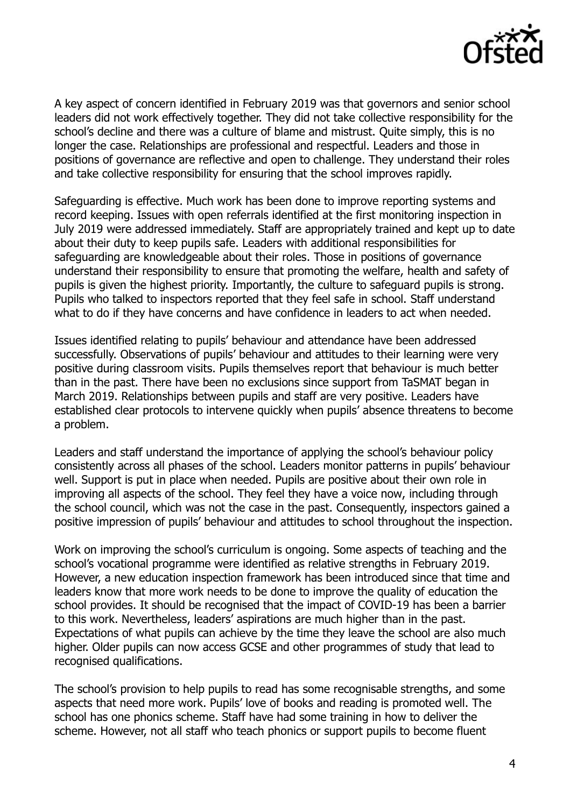

A key aspect of concern identified in February 2019 was that governors and senior school leaders did not work effectively together. They did not take collective responsibility for the school's decline and there was a culture of blame and mistrust. Quite simply, this is no longer the case. Relationships are professional and respectful. Leaders and those in positions of governance are reflective and open to challenge. They understand their roles and take collective responsibility for ensuring that the school improves rapidly.

Safeguarding is effective. Much work has been done to improve reporting systems and record keeping. Issues with open referrals identified at the first monitoring inspection in July 2019 were addressed immediately. Staff are appropriately trained and kept up to date about their duty to keep pupils safe. Leaders with additional responsibilities for safeguarding are knowledgeable about their roles. Those in positions of governance understand their responsibility to ensure that promoting the welfare, health and safety of pupils is given the highest priority. Importantly, the culture to safeguard pupils is strong. Pupils who talked to inspectors reported that they feel safe in school. Staff understand what to do if they have concerns and have confidence in leaders to act when needed.

Issues identified relating to pupils' behaviour and attendance have been addressed successfully. Observations of pupils' behaviour and attitudes to their learning were very positive during classroom visits. Pupils themselves report that behaviour is much better than in the past. There have been no exclusions since support from TaSMAT began in March 2019. Relationships between pupils and staff are very positive. Leaders have established clear protocols to intervene quickly when pupils' absence threatens to become a problem.

Leaders and staff understand the importance of applying the school's behaviour policy consistently across all phases of the school. Leaders monitor patterns in pupils' behaviour well. Support is put in place when needed. Pupils are positive about their own role in improving all aspects of the school. They feel they have a voice now, including through the school council, which was not the case in the past. Consequently, inspectors gained a positive impression of pupils' behaviour and attitudes to school throughout the inspection.

Work on improving the school's curriculum is ongoing. Some aspects of teaching and the school's vocational programme were identified as relative strengths in February 2019. However, a new education inspection framework has been introduced since that time and leaders know that more work needs to be done to improve the quality of education the school provides. It should be recognised that the impact of COVID-19 has been a barrier to this work. Nevertheless, leaders' aspirations are much higher than in the past. Expectations of what pupils can achieve by the time they leave the school are also much higher. Older pupils can now access GCSE and other programmes of study that lead to recognised qualifications.

The school's provision to help pupils to read has some recognisable strengths, and some aspects that need more work. Pupils' love of books and reading is promoted well. The school has one phonics scheme. Staff have had some training in how to deliver the scheme. However, not all staff who teach phonics or support pupils to become fluent